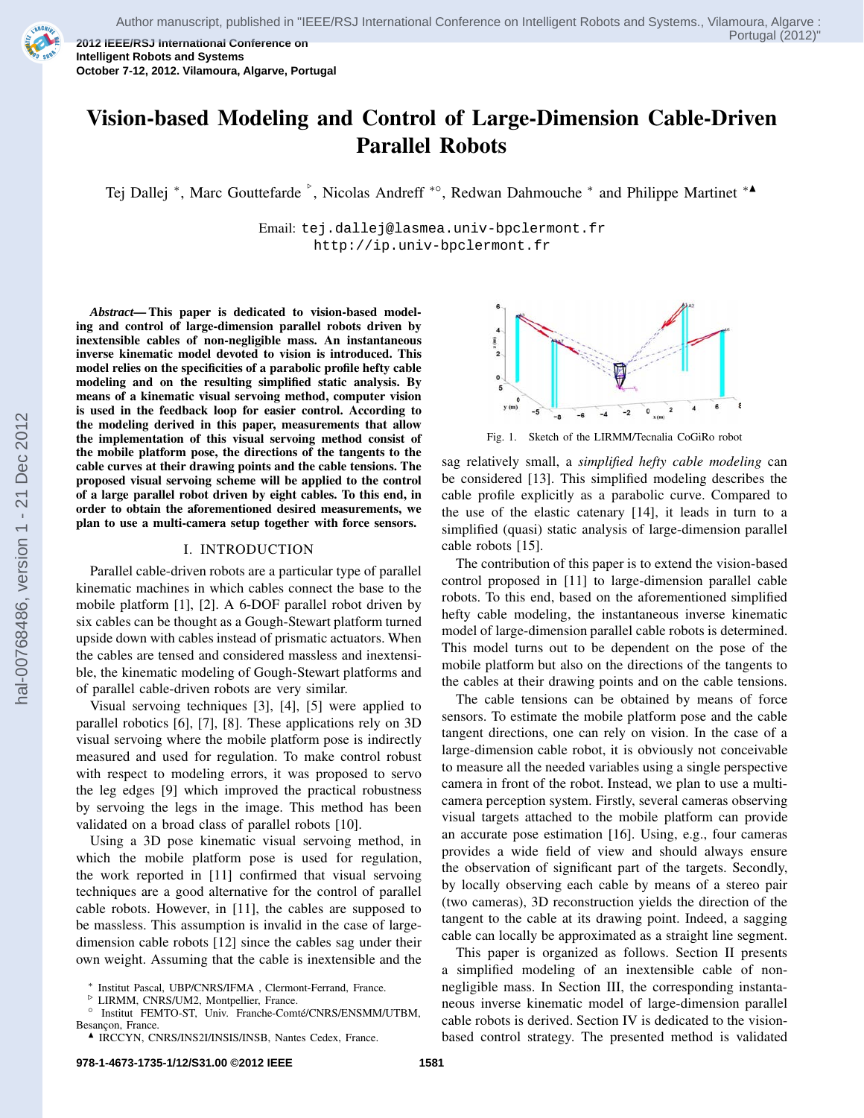

**2012 IEEE/RSJ International Conference on Intelligent Robots and Systems October 7-12, 2012. Vilamoura, Algarve, Portugal**

# **Vision-based Modeling and Control of Large-Dimension Cable-Driven Parallel Robots**

Tej Dallej \*, Marc Gouttefarde  $\degree$ , Nicolas Andreff \*°, Redwan Dahmouche \* and Philippe Martinet \*▲

Email: tej.dallej@lasmea.univ-bpclermont.fr http://ip.univ-bpclermont.fr

*Abstract***— This paper is dedicated to vision-based modeling and control of large-dimension parallel robots driven by inextensible cables of non-negligible mass. An instantaneous inverse kinematic model devoted to vision is introduced. This model relies on the specificities of a parabolic profile hefty cable modeling and on the resulting simplified static analysis. By means of a kinematic visual servoing method, computer vision is used in the feedback loop for easier control. According to the modeling derived in this paper, measurements that allow the implementation of this visual servoing method consist of the mobile platform pose, the directions of the tangents to the cable curves at their drawing points and the cable tensions. The proposed visual servoing scheme will be applied to the control of a large parallel robot driven by eight cables. To this end, in order to obtain the aforementioned desired measurements, we plan to use a multi-camera setup together with force sensors.**

### I. INTRODUCTION

Parallel cable-driven robots are a particular type of parallel kinematic machines in which cables connect the base to the mobile platform [1], [2]. A 6-DOF parallel robot driven by six cables can be thought as a Gough-Stewart platform turned upside down with cables instead of prismatic actuators. When the cables are tensed and considered massless and inextensible, the kinematic modeling of Gough-Stewart platforms and of parallel cable-driven robots are very similar.

Visual servoing techniques [3], [4], [5] were applied to parallel robotics [6], [7], [8]. These applications rely on 3D visual servoing where the mobile platform pose is indirectly measured and used for regulation. To make control robust with respect to modeling errors, it was proposed to servo the leg edges [9] which improved the practical robustness by servoing the legs in the image. This method has been validated on a broad class of parallel robots [10].

Using a 3D pose kinematic visual servoing method, in which the mobile platform pose is used for regulation, the work reported in [11] confirmed that visual servoing techniques are a good alternative for the control of parallel cable robots. However, in [11], the cables are supposed to be massless. This assumption is invalid in the case of largedimension cable robots [12] since the cables sag under their own weight. Assuming that the cable is inextensible and the

Besancon, France.



Fig. 1. Sketch of the LIRMM/Tecnalia CoGiRo robot

sag relatively small, a *simplified hefty cable modeling* can be considered [13]. This simplified modeling describes the cable profile explicitly as a parabolic curve. Compared to the use of the elastic catenary [14], it leads in turn to a simplified (quasi) static analysis of large-dimension parallel cable robots [15].

The contribution of this paper is to extend the vision-based control proposed in [11] to large-dimension parallel cable robots. To this end, based on the aforementioned simplified hefty cable modeling, the instantaneous inverse kinematic model of large-dimension parallel cable robots is determined. This model turns out to be dependent on the pose of the mobile platform but also on the directions of the tangents to the cables at their drawing points and on the cable tensions.

The cable tensions can be obtained by means of force sensors. To estimate the mobile platform pose and the cable tangent directions, one can rely on vision. In the case of a large-dimension cable robot, it is obviously not conceivable to measure all the needed variables using a single perspective camera in front of the robot. Instead, we plan to use a multicamera perception system. Firstly, several cameras observing visual targets attached to the mobile platform can provide an accurate pose estimation [16]. Using, e.g., four cameras provides a wide field of view and should always ensure the observation of significant part of the targets. Secondly, by locally observing each cable by means of a stereo pair (two cameras), 3D reconstruction yields the direction of the tangent to the cable at its drawing point. Indeed, a sagging cable can locally be approximated as a straight line segment.

This paper is organized as follows. Section II presents a simplified modeling of an inextensible cable of nonnegligible mass. In Section III, the corresponding instantaneous inverse kinematic model of large-dimension parallel cable robots is derived. Section IV is dedicated to the visionbased control strategy. The presented method is validated

<sup>∗</sup> Institut Pascal, UBP/CNRS/IFMA , Clermont-Ferrand, France.

<sup>⊲</sup> LIRMM, CNRS/UM2, Montpellier, France. ○ Institut FEMTO-ST, Univ. Franche-Comté/CNRS/ENSMM/UTBM,

 $\blacktriangle$  IRCCYN, CNRS/INS2I/INSIS/INSB, Nantes Cedex, France.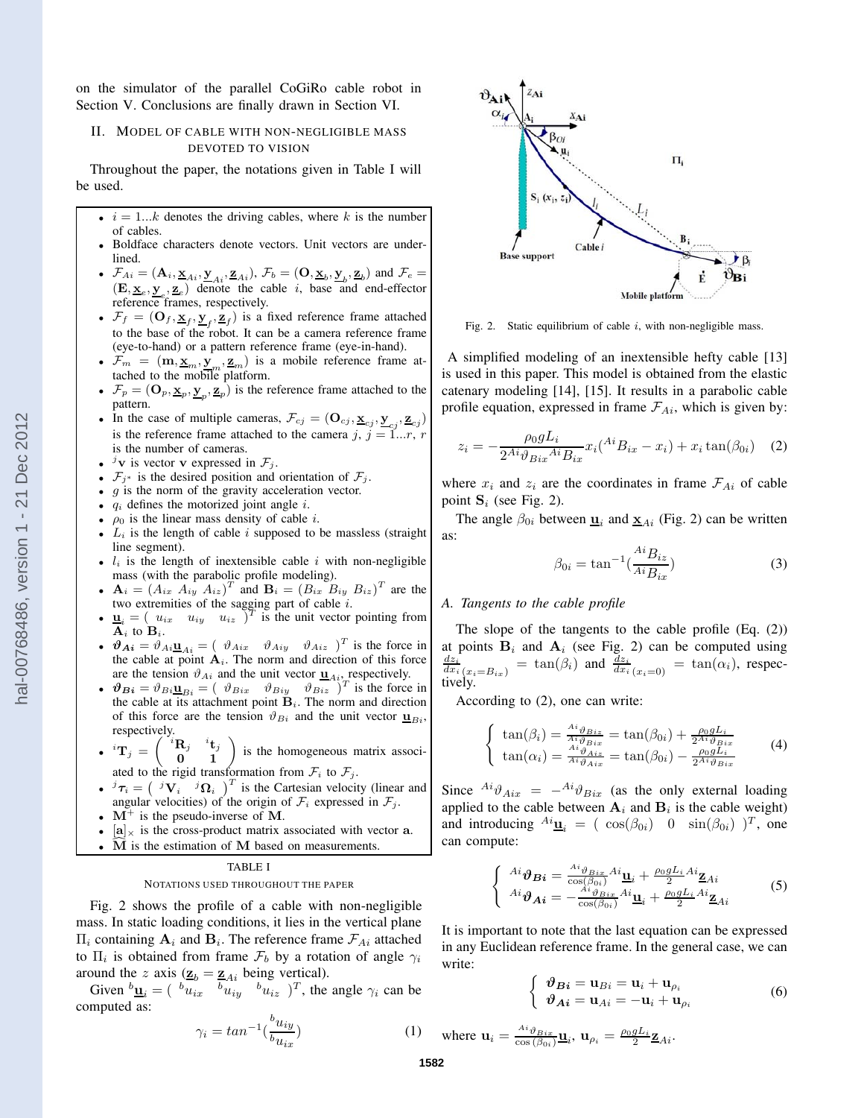on the simulator of the parallel CoGiRo cable robot in Section V. Conclusions are finally drawn in Section VI.

# II. MODEL OF CABLE WITH NON-NEGLIGIBLE MASS DEVOTED TO VISION

Throughout the paper, the notations given in Table I will be used.

- $i = 1...k$  denotes the driving cables, where k is the number of cables.
- Boldface characters denote vectors. Unit vectors are underlined.
- $\mathcal{F}_{Ai} = (\mathbf{A}_i, \underline{\mathbf{x}}_{Ai}, \underline{\mathbf{y}}_{Ai}, \underline{\mathbf{z}}_{Ai}), \mathcal{F}_b = (\mathbf{O}, \underline{\mathbf{x}}_b, \underline{\mathbf{y}}_b, \underline{\mathbf{z}}_b)$  and  $\mathcal{F}_e =$  $(\mathbf{E}, \mathbf{x}_e, \mathbf{y}_e, \mathbf{z}_e)$  denote the cable *i*, base and end-effector reference frames, respectively.
- $\mathcal{F}_f = (\mathbf{O}_f, \mathbf{\underline{x}}_f, \mathbf{\underline{y}}_f, \mathbf{\underline{z}}_f)$  is a fixed reference frame attached to the base of the robot. It can be a camera reference frame (eye-to-hand) or a pattern reference frame (eye-in-hand).
- $\mathcal{F}_m = (\mathbf{m}, \mathbf{\underline{x}}_m, \mathbf{\underline{y}}_m, \mathbf{\underline{z}}_m)$  is a mobile reference frame attached to the mobile platform.
- $\mathcal{F}_p = (\mathbf{O}_p, \underline{\mathbf{x}}_p, \underline{\mathbf{y}}_p, \underline{\mathbf{z}}_p)$  is the reference frame attached to the pattern.
- In the case of multiple cameras,  $\mathcal{F}_{cj} = (\mathbf{O}_{cj}, \underline{\mathbf{x}}_{cj}, \underline{\mathbf{y}}_{cj}, \underline{\mathbf{z}}_{cj})$ is the reference frame attached to the camera j,  $j = \tilde{1}...r$ , r is the number of cameras.
- $\overrightarrow{y}$  v is vector v expressed in  $\mathcal{F}_j$ .
- $\mathcal{F}_{j^*}$  is the desired position and orientation of  $\mathcal{F}_j$ .
- $q$  is the norm of the gravity acceleration vector.
- $q_i$  defines the motorized joint angle i.
- $\rho_0$  is the linear mass density of cable *i*.
- $L_i$  is the length of cable i supposed to be massless (straight line segment).
- $l_i$  is the length of inextensible cable i with non-negligible mass (with the parabolic profile modeling).
- $\mathbf{A}_i = (A_{ix} A_{iy} A_{iz})^T$  and  $\mathbf{B}_i = (B_{ix} B_{iy} B_{iz})^T$  are the two extremities of the sagging part of cable  $i$ .
- $\underline{\mathbf{u}}_i = (u_{ix} \quad u_{iy} \quad u_{iz})^T$  is the unit vector pointing from  $A_i$  to  $B_i$ .
- $\vartheta_{Ai} = \vartheta_{Ai} \underline{u}_{Ai} = (\vartheta_{Aix} \vartheta_{Aiy} \vartheta_{Aiz})^T$  is the force in the cable at point  $A_i$ . The norm and direction of this force are the tension  $\vartheta_{Ai}$  and the unit vector  $\underline{\mathbf{u}}_{Ai}$ , respectively.
- $\vartheta_{Bi} = \vartheta_{Bi} \underline{\mathbf{u}}_{Bi} = (\vartheta_{Bix} \vartheta_{Biy} \vartheta_{Biz})^T$  is the force in the cable at its attachment point  $B_i$ . The norm and direction of this force are the tension  $\vartheta_{Bi}$  and the unit vector  $\underline{\mathbf{u}}_{Bi}$ respectively.
- $\bullet$   ${}^{i}\mathbf{T}_{j}$  =  $\mathbf{R}_j \ \mathbf{0}$  $\begin{pmatrix} \mathbf{R}_j & \mathbf{i} \ \mathbf{t}_j \\ \mathbf{0} & \mathbf{1} \end{pmatrix}$  is the homogeneous matrix associated to the rigid transformation from  $\mathcal{F}_i$  to  $\mathcal{F}_j$ .
- ${}^{j} \tau_i = \begin{pmatrix} {}^{j} \mathbf{V}_i & {}^{j} \mathbf{\Omega}_i \end{pmatrix}^T$  is the Cartesian velocity (linear and
- angular velocities) of the origin of  $\mathcal{F}_i$  expressed in  $\mathcal{F}_j$ . •  $M^+$  is the pseudo-inverse of M.
- $[a]_{\times}$  is the cross-product matrix associated with vector a.
- $\widehat{M}$  is the estimation of M based on measurements.

# TABLE I

#### NOTATIONS USED THROUGHOUT THE PAPER

Fig. 2 shows the profile of a cable with non-negligible mass. In static loading conditions, it lies in the vertical plane  $\Pi_i$  containing  $\mathbf{A}_i$  and  $\mathbf{B}_i$ . The reference frame  $\mathcal{F}_{Ai}$  attached to  $\Pi_i$  is obtained from frame  $\mathcal{F}_b$  by a rotation of angle  $\gamma_i$ around the z axis  $(\underline{\mathbf{z}}_b = \underline{\mathbf{z}}_{Ai}$  being vertical).

Given  ${}^b \underline{\mathbf{u}}_i = ({}^{-b}u_{ix} - {}^b u_{iy} - {}^b u_{iz})^T$ , the angle  $\gamma_i$  can be computed as:

$$
\gamma_i = \tan^{-1}\left(\frac{b_{uij}}{b_{uix}}\right) \tag{1}
$$



Fig. 2. Static equilibrium of cable  $i$ , with non-negligible mass.

A simplified modeling of an inextensible hefty cable [13] is used in this paper. This model is obtained from the elastic catenary modeling [14], [15]. It results in a parabolic cable profile equation, expressed in frame  $\mathcal{F}_{Ai}$ , which is given by:

$$
z_i = -\frac{\rho_0 g L_i}{2^{Ai} \vartheta_{Bix}^{Ai} B_{ix}} x_i (^{Ai} B_{ix} - x_i) + x_i \tan(\beta_{0i}) \quad (2)
$$

where  $x_i$  and  $z_i$  are the coordinates in frame  $\mathcal{F}_{Ai}$  of cable point  $S_i$  (see Fig. 2).

The angle  $\beta_{0i}$  between  $\underline{\mathbf{u}}_i$  and  $\underline{\mathbf{x}}_{Ai}$  (Fig. 2) can be written as:

$$
\beta_{0i} = \tan^{-1}\left(\frac{Ai_{B_{iz}}}{Ai_{B_{ix}}}\right) \tag{3}
$$

## *A. Tangents to the cable profile*

The slope of the tangents to the cable profile (Eq. (2)) at points  $B_i$  and  $A_i$  (see Fig. 2) can be computed using  $\frac{dz_i}{dx_i}$   $\left(x_i = B_{ix}\right)$  =  $\tan(\beta_i)$  and  $\frac{dz_i}{dx_i}$   $\left(x_i = 0\right)$  =  $\tan(\alpha_i)$ , respectively.

According to (2), one can write:

$$
\begin{cases}\n\tan(\beta_i) = \frac{A^i \vartheta_{Biz}}{Ai \vartheta_{Bix}} = \tan(\beta_{0i}) + \frac{\rho_0 g L_i}{2^{Ai} \vartheta_{Bix}} \\
\tan(\alpha_i) = \frac{A^i \vartheta_{Aiz}}{A^i \vartheta_{Aix}} = \tan(\beta_{0i}) - \frac{\rho_0 g L_i}{2^{Ai} \vartheta_{Bix}}\n\end{cases}
$$
\n(4)

Since  $^{Ai}\vartheta_{Aix} = -^{Ai}\vartheta_{Bix}$  (as the only external loading applied to the cable between  $A_i$  and  $B_i$  is the cable weight) and introducing  $^{Ai}\underline{\mathbf{u}}_i = ( \cos(\beta_{0i}) \quad 0 \quad \sin(\beta_{0i}) \quad )^T$ , one can compute:

$$
\begin{cases}\nA^{i} \boldsymbol{\vartheta} \mathbf{B}^{i} = \frac{A^{i} \boldsymbol{\vartheta}_{Bix}}{\cos(\beta_{0i})} A^{i} \underline{\mathbf{u}}_{i} + \frac{\rho_{0} g L_{i}}{2} A^{i} \underline{\mathbf{z}}_{Ai} \\
A^{i} \boldsymbol{\vartheta}_{\mathbf{A}^{i}} = -\frac{A^{i} \boldsymbol{\vartheta}_{Bix}}{\cos(\beta_{0i})} A^{i} \underline{\mathbf{u}}_{i} + \frac{\rho_{0} g L_{i}}{2} A^{i} \underline{\mathbf{z}}_{Ai}\n\end{cases}
$$
\n(5)

It is important to note that the last equation can be expressed in any Euclidean reference frame. In the general case, we can write:

$$
\begin{cases} \n\vartheta_{\mathbf{B}i} = \mathbf{u}_{Bi} = \mathbf{u}_i + \mathbf{u}_{\rho_i} \\ \n\vartheta_{\mathbf{A}i} = \mathbf{u}_{Ai} = -\mathbf{u}_i + \mathbf{u}_{\rho_i} \n\end{cases} \n\tag{6}
$$

where 
$$
\mathbf{u}_i = \frac{A^i \vartheta_{Bix}}{\cos(\beta_{0i})} \underline{\mathbf{u}}_i
$$
,  $\mathbf{u}_{\rho_i} = \frac{\rho_0 g L_i}{2} \underline{\mathbf{z}}_{Ai}$ .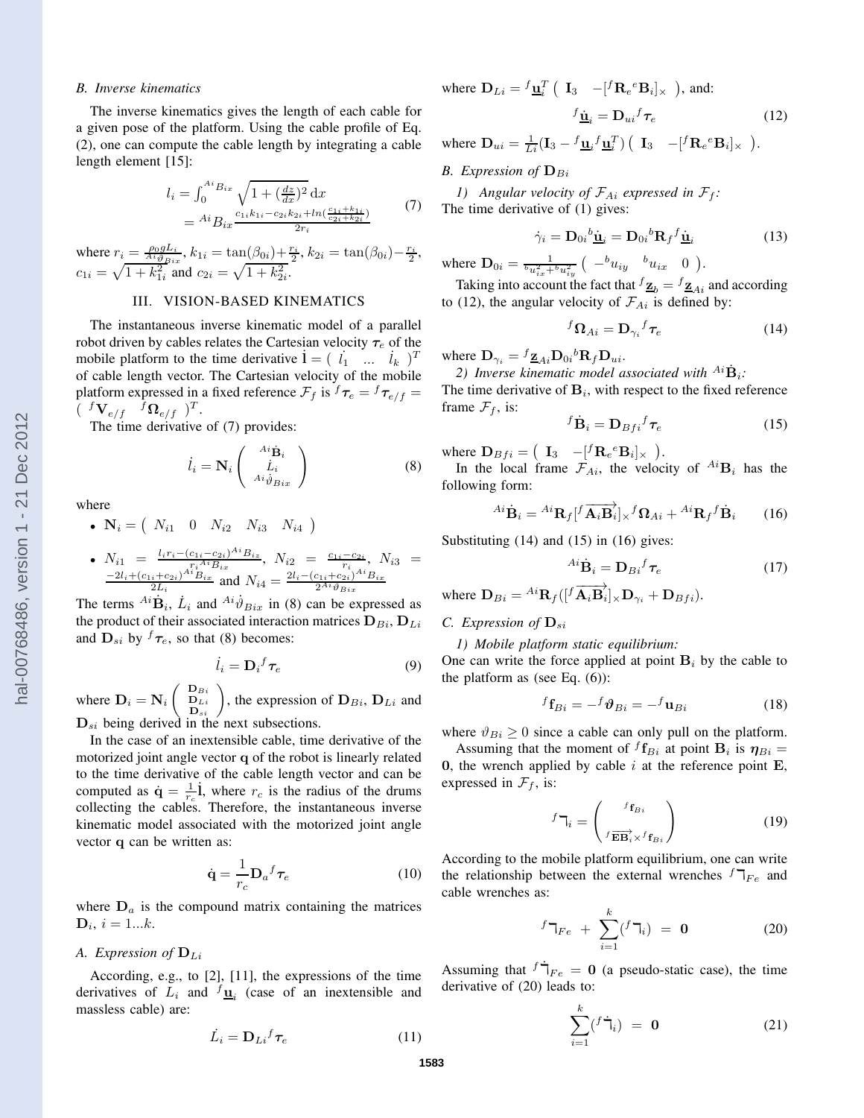#### *B. Inverse kinematics*

The inverse kinematics gives the length of each cable for a given pose of the platform. Using the cable profile of Eq. (2), one can compute the cable length by integrating a cable length element [15]:

$$
l_i = \int_0^{A_i} B_{ix} \sqrt{1 + \left(\frac{dz}{dx}\right)^2} dx
$$
  
= 
$$
{}^{Ai}B_{ix} \frac{c_{1i}k_{1i} - c_{2i}k_{2i} + ln(\frac{c_{1i} + k_{1i}}{c_{2i} + k_{2i}})}{2r_i}
$$
 (7)

where  $r_i = \frac{\rho_0 g L_i}{Ai \theta_{Bix}}, k_{1i} = \tan(\beta_{0i}) + \frac{r_i}{2}, k_{2i} = \tan(\beta_{0i}) - \frac{r_i}{2},$  $c_{1i} = \sqrt{1 + k_{1i}^2}$  and  $c_{2i} = \sqrt{1 + k_{2i}^2}$ .

# III. VISION-BASED KINEMATICS

The instantaneous inverse kinematic model of a parallel robot driven by cables relates the Cartesian velocity  $\tau_e$  of the mobile platform to the time derivative  $\mathbf{i} = (i_1 \dots i_k)^T$ of cable length vector. The Cartesian velocity of the mobile platform expressed in a fixed reference  $\mathcal{F}_f$  is  $^f\tau_e = ^f\tau_{e/f}$  $(\begin{array}{cc} f\mathbf{V}_{e/f} & f\mathbf{\Omega}_{e/f} \end{array})^T$ .

The time derivative of (7) provides:

$$
\dot{l}_i = \mathbf{N}_i \begin{pmatrix} \phantom{-}Ai\dot{\mathbf{B}}_i \\ \phantom{-}Li \\ \phantom{-}Ai\dot{\vartheta}_{Bix} \end{pmatrix} \tag{8}
$$

where

•  $N_i = (N_{i1} \ 0 \ N_{i2} \ N_{i3} \ N_{i4})$ 

• 
$$
N_{i1} = \frac{l_{i}r_{i} - (c_{1i} - c_{2i})^{Ai}B_{iz}}{r_{i}^{A^{i}B_{ix}}}
$$
,  $N_{i2} = \frac{c_{1i} - c_{2i}}{r_{i}}$ ,  $N_{i3} = \frac{-2l_{i} + (c_{1i} + c_{2i})^{Ai}B_{ix}}{2L_{i}}$  and  $N_{i4} = \frac{2l_{i} - (c_{1i} + c_{2i})^{Ai}B_{ix}}{2^{Ai}\theta_{Bix}}$ 

The terms  $^{Ai}\dot{\mathbf{B}}_i$ ,  $\dot{L}_i$  and  $^{Ai}\dot{\vartheta}_{Bix}$  in (8) can be expressed as the product of their associated interaction matrices  $D_{Bi}$ ,  $D_{Li}$ and  $\mathbf{D}_{si}$  by  ${}^f\tau_e$ , so that (8) becomes:

$$
\dot{l}_i = \mathbf{D}_i{}^f \boldsymbol{\tau}_e \tag{9}
$$

where  $D_i = N_i$  $\begin{pmatrix} \mathbf{D}_{Bi} \\ \mathbf{D}_{Li} \\ \mathbf{D}_{si} \end{pmatrix}$ , the expression of  $\mathbf{D}_{Bi}$ ,  $\mathbf{D}_{Li}$  and  $D_{si}$  being derived in the next subsections.

In the case of an inextensible cable, time derivative of the motorized joint angle vector q of the robot is linearly related to the time derivative of the cable length vector and can be computed as  $\dot{\mathbf{q}} = \frac{1}{r_c} \dot{\mathbf{l}}$ , where  $r_c$  is the radius of the drums collecting the cables. Therefore, the instantaneous inverse kinematic model associated with the motorized joint angle vector q can be written as:

$$
\dot{\mathbf{q}} = \frac{1}{r_c} \mathbf{D}_a{}^f \boldsymbol{\tau}_e \tag{10}
$$

where  $D_a$  is the compound matrix containing the matrices  $$ 

# *A.* Expression of  $D_{Li}$

According, e.g., to [2], [11], the expressions of the time derivatives of  $L_i$  and  $\frac{f_{\text{u}_i}}{g}$  (case of an inextensible and massless cable) are:

$$
\dot{L}_i = \mathbf{D}_{Li}{}^f \boldsymbol{\tau}_e \tag{11}
$$

where  $\mathbf{D}_{Li} = f \underline{\mathbf{u}}_i^T ( \mathbf{I}_3 - [f \mathbf{R}_e^e \mathbf{B}_i] \times )$ , and:  $^f \underline{\dot{\mathbf{u}}}_i = \mathbf{D}_{ui}{}^f$ 

where 
$$
\mathbf{D}_{ui} = \frac{1}{Li}(\mathbf{I}_3 - {}^f \underline{\mathbf{u}}_i {}^f \underline{\mathbf{u}}_i^T) (\mathbf{I}_3 - [{}^f \mathbf{R}_e {}^e \mathbf{B}_i]_{\times}).
$$

## *B.* Expression of  $\mathbf{D}_{Bi}$

*1)* Angular velocity of  $\mathcal{F}_{Ai}$  expressed in  $\mathcal{F}_f$ : The time derivative of (1) gives:

$$
\dot{\gamma}_i = \mathbf{D}_{0i}{}^b \dot{\underline{\mathbf{u}}}_i = \mathbf{D}_{0i}{}^b \mathbf{R}_f{}^f \dot{\underline{\mathbf{u}}}_i \tag{13}
$$

 $(12)$ 

where  $\mathbf{D}_{0i} = \frac{1}{bu_{ix}^2 + bu_{iy}^2}$   $\left( \begin{array}{ccc} -bu_{iy} & bu_{ix} & 0 \end{array} \right)$ .

Taking into account the fact that  $f_{\mathbf{Z}_{b}} = f_{\mathbf{Z}_{Ai}}$  and according to (12), the angular velocity of  $\mathcal{F}_{Ai}$  is defined by:

$$
{}^{f}\Omega_{Ai} = \mathbf{D}_{\gamma_i} {}^{f} \boldsymbol{\tau}_e \tag{14}
$$

where  $\mathbf{D}_{\gamma_i} = {}^f \underline{\mathbf{z}}_{Ai} \mathbf{D}_{0i} {}^b \mathbf{R}_f \mathbf{D}_{ui}$ .

2) Inverse kinematic model associated with  $^{Ai}\dot{\mathbf{B}}_i$ :

The time derivative of  $B_i$ , with respect to the fixed reference frame  $\mathcal{F}_f$ , is:

$$
{}^{f}\dot{\mathbf{B}}_{i} = \mathbf{D}_{Bf i} {}^{f} \boldsymbol{\tau}_{e}
$$
 (15)

where  $\mathbf{D}_{Bfi} = ( \mathbf{I}_3 - [^f \mathbf{R}_e^e \mathbf{B}_i]_{\times} ).$ 

In the local frame  $\mathcal{F}_{Ai}$ , the velocity of  $^{Ai}B_i$  has the following form:

$$
^{Ai}\dot{\mathbf{B}}_{i} = {^{Ai}\mathbf{R}_{f}[}^{f}\overrightarrow{\mathbf{A}_{i}\mathbf{B}_{i}}]_{\times}^{f}\Omega_{Ai} + {^{Ai}\mathbf{R}_{f}}^{f}\dot{\mathbf{B}}_{i}
$$
 (16)

Substituting (14) and (15) in (16) gives:

$$
^{Ai}\dot{\mathbf{B}}_{i} = \mathbf{D}_{Bi}{}^{f}\boldsymbol{\tau}_{e}
$$
 (17)

where  $\mathbf{D}_{Bi} = {}^{Ai}\mathbf{R}_{f} ([{}^{f}\overrightarrow{\mathbf{A}_{i}}\overrightarrow{\mathbf{B}}_{i}]_{\times}\mathbf{D}_{\gamma_{i}} + \mathbf{D}_{Bfi}).$ 

# *C. Expression of*  $\mathbf{D}_{si}$

#### *1) Mobile platform static equilibrium:*

One can write the force applied at point  $B_i$  by the cable to the platform as (see Eq.  $(6)$ ):

$$
{}^{f}\mathbf{f}_{Bi} = -{}^{f}\boldsymbol{\vartheta}_{Bi} = -{}^{f}\mathbf{u}_{Bi} \tag{18}
$$

where  $\vartheta_{Bi} \ge 0$  since a cable can only pull on the platform.

Assuming that the moment of  ${}^f{\bf f}_{Bi}$  at point  ${\bf B}_i$  is  $\eta_{Bi} =$ 0, the wrench applied by cable  $i$  at the reference point  $\bf{E}$ , expressed in  $\mathcal{F}_f$ , is:

$$
{}^{f}\mathbf{T}_{i} = \begin{pmatrix} {}^{f}\mathbf{f}_{Bi} \\ {}^{f}\overrightarrow{\mathbf{EB}_{i}} \times {}^{f}\mathbf{f}_{Bi} \end{pmatrix}
$$
 (19)

According to the mobile platform equilibrium, one can write the relationship between the external wrenches  $f\mathcal{T}_{Fe}$  and cable wrenches as:

$$
{}^{f}\mathsf{T}_{Fe} + \sum_{i=1}^{k} ({}^{f}\mathsf{T}_{i}) = \mathbf{0}
$$
 (20)

Assuming that  $f\dot{\top}_{Fe} = 0$  (a pseudo-static case), the time derivative of (20) leads to:

$$
\sum_{i=1}^{k} (f \dot{\mathbf{T}}_i) = \mathbf{0} \tag{21}
$$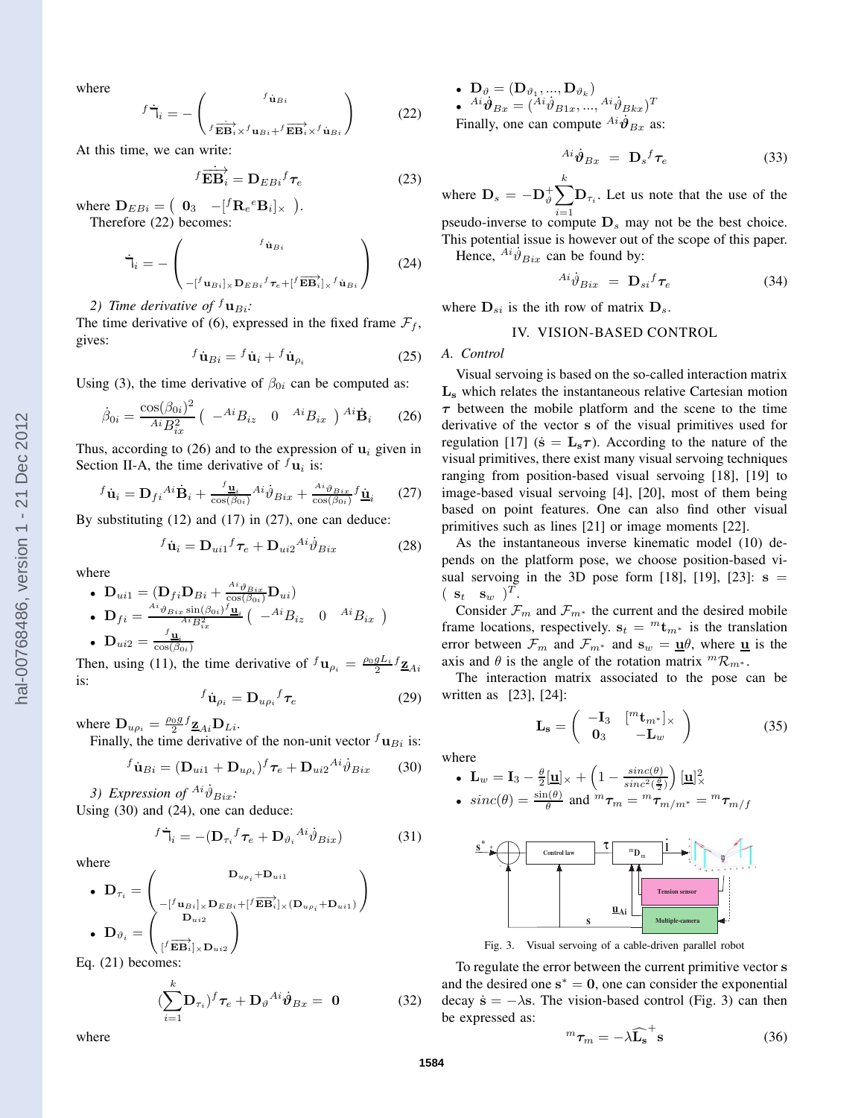where

$$
\dot{\mathbf{H}}_{i} = -\left(\begin{array}{c} f_{\dot{\mathbf{u}}_{Bi}} \\ f_{\overrightarrow{\mathbf{E}}\overrightarrow{\mathbf{B}}_{i} \times} f_{\mathbf{u}_{Bi}+} f_{\overrightarrow{\mathbf{E}}\overrightarrow{\mathbf{B}}_{i} \times} f_{\dot{\mathbf{u}}_{Bi}} \end{array}\right) \tag{22}
$$

At this time, we can write:

 $\overline{f}$ 

$$
f \overrightarrow{\mathbf{EB}}_i = \mathbf{D}_{EBi} f_{\tau_e}
$$
 (23)

where  $\mathbf{D}_{EBi} = \begin{pmatrix} \mathbf{0}_3 & -[^f \mathbf{R}_e{}^e \mathbf{B}_i]_{\times} \end{pmatrix}$ . Therefore (22) becomes:

$$
\dot{\mathbf{T}}_i = -\begin{pmatrix} f_{\dot{\mathbf{u}}_{Bi}} & \\ & -[f_{\mathbf{u}_{Bi}]_{\times} \mathbf{D}_{EBi} f_{\tau_e} + [f_{\overrightarrow{EB}}]_{\times} f_{\dot{\mathbf{u}}_{Bi}} \end{pmatrix} \tag{24}
$$

*2) Time derivative of*  $f_{\mathbf{u}_{Bi}}$ .

The time derivative of (6), expressed in the fixed frame  $\mathcal{F}_f$ , gives:

$$
{}^{f}\dot{\mathbf{u}}_{Bi} = {}^{f}\dot{\mathbf{u}}_{i} + {}^{f}\dot{\mathbf{u}}_{\rho_{i}} \tag{25}
$$

Using (3), the time derivative of  $\beta_{0i}$  can be computed as:

$$
\dot{\beta}_{0i} = \frac{\cos(\beta_{0i})^2}{Ai B_{ix}^2} \left( -A^i B_{iz} \quad 0 \quad {}^{Ai} B_{ix} \right) {}^{Ai} \dot{\mathbf{B}}_i \qquad (26)
$$

Thus, according to (26) and to the expression of  $\mathbf{u}_i$  given in Section II-A, the time derivative of  $f_{\mathbf{u}_i}$  is:

$$
{}^{f}\dot{\mathbf{u}}_{i} = \mathbf{D}_{fi}{}^{Ai}\dot{\mathbf{B}}_{i} + \frac{{}^{f}\mathbf{u}_{i}}{{}\cos(\beta_{0i})}{}^{Ai}\dot{\vartheta}_{Bix} + \frac{{}^{Ai}\vartheta_{Bix}}{{}\cos(\beta_{0i})}{}^{f}\dot{\mathbf{u}}_{i}
$$
 (27)

By substituting (12) and (17) in (27), one can deduce:

$$
{}^{f}\dot{\mathbf{u}}_{i} = \mathbf{D}_{ui1}{}^{f}\tau_{e} + \mathbf{D}_{ui2}{}^{Ai}\dot{\vartheta}_{Bix}
$$
 (28)

where

\n- \n
$$
\mathbf{D}_{ui1} = (\mathbf{D}_{fi} \mathbf{D}_{Bi} + \frac{A^i \vartheta_{Bix}}{\cos(\beta_{0i})} \mathbf{D}_{ui})
$$
\n
\n- \n
$$
\mathbf{D}_{fi} = \frac{A^i \vartheta_{Bix} \sin(\beta_{0i})^f \mathbf{u}_i}{A^i B_{ix}^2} \left( -A^i B_{iz} \quad 0 \quad A^i B_{ix} \right)
$$
\n
\n- \n
$$
\mathbf{D}_{ui2} = \frac{f_{\mathbf{u}_i}}{\cos(\beta_{0i})}
$$
\n
\n

Then, using (11), the time derivative of  ${}^f\mathbf{u}_{\rho_i} = \frac{\rho_0 g L_i}{2} \mathbf{Z}_{Ai}$ is:

$$
{}^{f}\dot{\mathbf{u}}_{\rho_i} = \mathbf{D}_{u\rho_i}{}^{f} \boldsymbol{\tau}_e \tag{29}
$$

where  $\mathbf{D}_{u\rho_i} = \frac{\rho_0 g}{2} f_{\mathbf{Z}_{Ai}} \mathbf{D}_{Li}$ .

Finally, the time derivative of the non-unit vector  $^f\mathbf{u}_{Bi}$  is:

$$
{}^{f}\dot{\mathbf{u}}_{Bi} = (\mathbf{D}_{ui1} + \mathbf{D}_{u\rho_i}){}^{f} \tau_e + \mathbf{D}_{ui2}{}^{Ai}\dot{\vartheta}_{Bix}
$$
 (30)

3) Expression of  $^{Ai} \dot{\vartheta}_{Bix}$ : Using (30) and (24), one can deduce:

$$
{}^{f}\dot{\mathbf{T}}_{i} = -(\mathbf{D}_{\tau_{i}}{}^{f}\boldsymbol{\tau}_{e} + \mathbf{D}_{\vartheta_{i}}{}^{Ai}\dot{\vartheta}_{Bix})
$$
(31)

where

$$
\bullet \ \mathbf{D}_{\tau_i} = \left(\begin{matrix} \mathbf{D}_{u_{\rho_i}} + \mathbf{D}_{u i1} \\ \begin{matrix} -[{}^f\mathbf{u}_{B i}]_{\times} \mathbf{D}_{E B i} + [{}^f\overrightarrow{\mathbf{E}} \overrightarrow{\mathbf{B}}_i]_{\times} (\mathbf{D}_{u_{\rho_i}} + \mathbf{D}_{u i1}) \end{matrix} \end{matrix}\right)
$$

$$
\bullet \ \mathbf{D}_{\vartheta_i} = \left(\begin{matrix} \mathbf{D}_{u i2} \\ \begin{matrix} {}^f\overrightarrow{\mathbf{E}} \overrightarrow{\mathbf{B}}_i]_{\times} \mathbf{D}_{u i2} \end{matrix} \end{matrix}\right)
$$

Eq. (21) becomes:

$$
(\sum_{i=1}^{k} \mathbf{D}_{\tau_i})^f \boldsymbol{\tau}_e + \mathbf{D}_{\vartheta}^{Ai} \dot{\boldsymbol{\vartheta}}_{Bx} = \mathbf{0}
$$
 (32)

 $\bullet~~ \mathbf{D}_{\vartheta} = (\mathbf{D}_{\vartheta_1},...,\mathbf{D}_{\vartheta_k})$  $\bullet \quad {^{Ai}}\dot{\vartheta}_{Bx} = ({^{Ai}}\dot{\vartheta}_{B1x},..., {^{Ai}}\dot{\vartheta}_{Bkx})^T$ Finally, one can compute  $^{Ai}\dot{\theta}_{Bx}$  as:

$$
^{Ai}\dot{\theta}_{Bx} = \mathbf{D}_s{}^f \boldsymbol{\tau}_e \tag{33}
$$

where  $\mathbf{D}_s = -\mathbf{D}_\vartheta^+ \sum^k$  $i=1$  $\mathbf{D}_{\tau_i}$ . Let us note that the use of the pseudo-inverse to compute  $D_s$  may not be the best choice. This potential issue is however out of the scope of this paper.

Hence,  $^{Ai}\dot{\theta}_{Bix}$  can be found by:

$$
^{Ai}\dot{\vartheta}_{Bix} = \mathbf{D}_{si}{}^f \boldsymbol{\tau}_e \tag{34}
$$

where  $D_{si}$  is the ith row of matrix  $D_s$ .

### IV. VISION-BASED CONTROL

#### *A. Control*

Visual servoing is based on the so-called interaction matrix L<sup>s</sup> which relates the instantaneous relative Cartesian motion  $\tau$  between the mobile platform and the scene to the time derivative of the vector s of the visual primitives used for regulation [17] ( $\dot{\mathbf{s}} = \mathbf{L}_s \boldsymbol{\tau}$ ). According to the nature of the visual primitives, there exist many visual servoing techniques ranging from position-based visual servoing [18], [19] to image-based visual servoing [4], [20], most of them being based on point features. One can also find other visual primitives such as lines [21] or image moments [22].

As the instantaneous inverse kinematic model (10) depends on the platform pose, we choose position-based visual servoing in the 3D pose form [18], [19], [23]:  $s =$  $(\mathbf{s}_t \ \mathbf{s}_w)^T.$ 

Consider  $\mathcal{F}_m$  and  $\mathcal{F}_{m^*}$  the current and the desired mobile frame locations, respectively.  $s_t = {^m}t_{m^*}$  is the translation error between  $\mathcal{F}_m$  and  $\mathcal{F}_{m^*}$  and  $\mathbf{s}_w = \underline{\mathbf{u}}\theta$ , where  $\underline{\mathbf{u}}$  is the axis and  $\theta$  is the angle of the rotation matrix  ${}^m\mathcal{R}_{m^*}$ .

The interaction matrix associated to the pose can be written as [23], [24]:

$$
\mathbf{L}_{\mathbf{s}} = \left( \begin{array}{cc} -\mathbf{I}_3 & [{}^m \mathbf{t}_{m^*}]_{\times} \\ \mathbf{0}_3 & -\mathbf{L}_w \end{array} \right) \tag{35}
$$

where

\n- \n
$$
\mathbf{L}_w = \mathbf{I}_3 - \frac{\theta}{2} \left[ \underline{\mathbf{u}} \right] \times + \left( 1 - \frac{\text{sinc}(\theta)}{\text{sinc}^2(\frac{\theta}{2})} \right) \left[ \underline{\mathbf{u}} \right] \times
$$
\n
\n- \n
$$
\text{sinc}(\theta) = \frac{\sin(\theta)}{\theta} \text{ and } {}^m \tau_m = {}^m \tau_{m/m^*} = {}^m \tau_{m/f}
$$
\n
\n



Fig. 3. Visual servoing of a cable-driven parallel robot

To regulate the error between the current primitive vector s and the desired one  $s^* = 0$ , one can consider the exponential decay  $\dot{\mathbf{s}} = -\lambda \mathbf{s}$ . The vision-based control (Fig. 3) can then be expressed as:

$$
{}^{m}\tau_{m}=-\lambda\widehat{\mathbf{L}_{s}}^{+}\mathbf{s}
$$
 (36)

where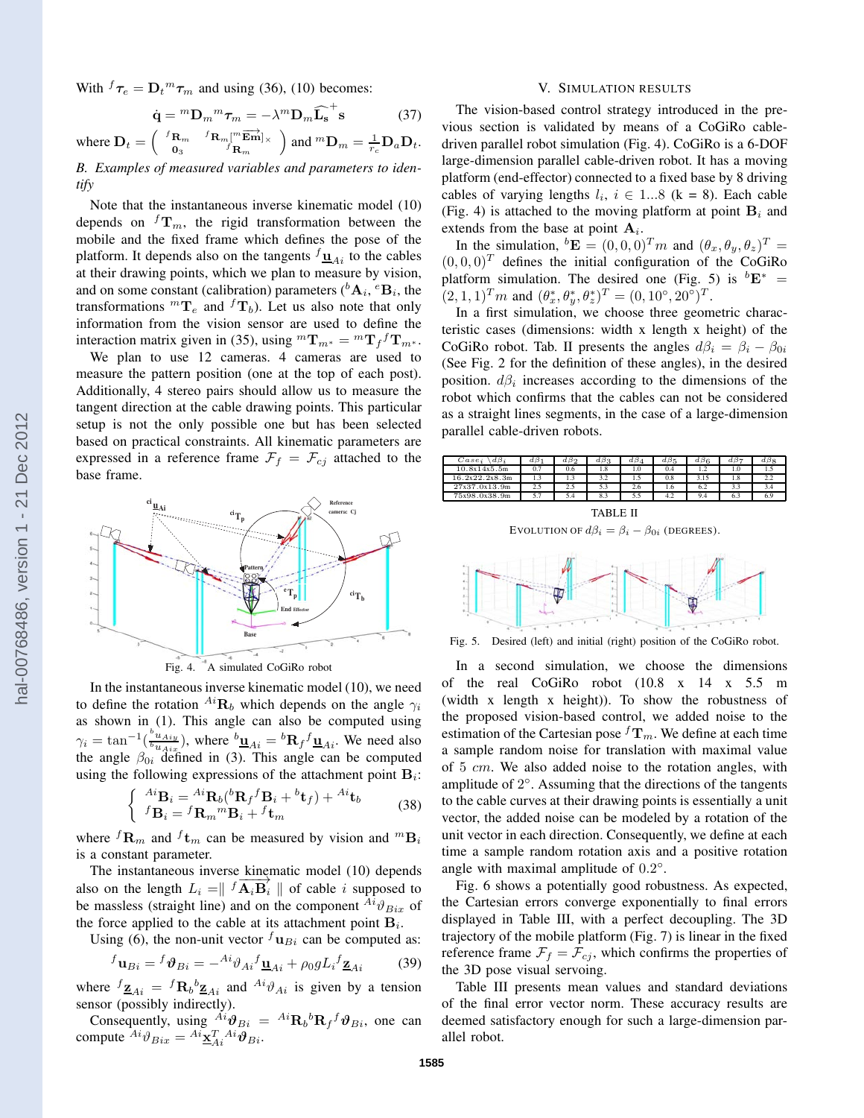With  ${}^f\tau_e = D_t{}^m\tau_m$  and using (36), (10) becomes:

$$
\dot{\mathbf{q}} = {}^{m} \mathbf{D}_{m} {}^{m} \boldsymbol{\tau}_{m} = -\lambda {}^{m} \mathbf{D}_{m} \widehat{\mathbf{L}_{\mathbf{s}}}^{+} \mathbf{s}
$$
 (37)

where  $\mathbf{D}_t = \begin{pmatrix} f_{\mathbf{R}_m} & f_{\mathbf{R}_m}[\mathbf{m}_{\mathbf{E}\mathbf{m}}]_x \\ \mathbf{0}_{\mathbf{R}} & f_{\mathbf{R}} \end{pmatrix}$  $\mathbf{0}_3$  f  $\mathbf{R}_m$ ) and  $^mD_m = \frac{1}{r_c} \mathbf{D}_a \mathbf{D}_t$ .

*B. Examples of measured variables and parameters to identify*

Note that the instantaneous inverse kinematic model (10) depends on  ${}^f{\bf T}_m$ , the rigid transformation between the mobile and the fixed frame which defines the pose of the platform. It depends also on the tangents  $f_{\mathbf{u}_{Ai}}$  to the cables at their drawing points, which we plan to measure by vision, and on some constant (calibration) parameters ( ${}^bA_i$ ,  ${}^eB_i$ , the transformations  ${}^m\mathbf{T}_e$  and  ${}^f\mathbf{T}_b$ ). Let us also note that only information from the vision sensor are used to define the interaction matrix given in (35), using  ${}^m{\bf T}_{m^*} = {}^m{\bf T}_f{}^f{\bf T}_{m^*}$ .

We plan to use 12 cameras. 4 cameras are used to measure the pattern position (one at the top of each post). Additionally, 4 stereo pairs should allow us to measure the tangent direction at the cable drawing points. This particular setup is not the only possible one but has been selected based on practical constraints. All kinematic parameters are expressed in a reference frame  $\mathcal{F}_f = \mathcal{F}_{c_j}$  attached to the base frame.



In the instantaneous inverse kinematic model (10), we need to define the rotation  $^{Ai}$ **R**<sub>b</sub> which depends on the angle  $\gamma_i$ as shown in (1). This angle can also be computed using  $\gamma_i = \tan^{-1}(\frac{b_{u_{Airy}}}{b_{u_{Airy}}}$  $\frac{\partial u_{Aiy}}{\partial u_{Aix}}$ , where  ${}^{b}\underline{\mathbf{u}}_{Ai} = {}^{b}\mathbf{R}_f{}^f \underline{\mathbf{u}}_{Ai}$ . We need also the angle  $\beta_{0i}$  defined in (3). This angle can be computed using the following expressions of the attachment point  $B_i$ :

$$
\begin{cases} A^i \mathbf{B}_i = {}^{Ai} \mathbf{R}_b ({}^b \mathbf{R}_f {}^f \mathbf{B}_i + {}^b \mathbf{t}_f) + {}^{Ai} \mathbf{t}_b \\ {}^f \mathbf{B}_i = {}^f \mathbf{R}_m {}^m \mathbf{B}_i + {}^f \mathbf{t}_m \end{cases} \tag{38}
$$

where  ${}^f{\bf R}_m$  and  ${}^f{\bf t}_m$  can be measured by vision and  ${}^m{\bf B}_i$ is a constant parameter.

The instantaneous inverse kinematic model (10) depends also on the length  $L_i = \int f \overrightarrow{A_i B_i}$  of cable i supposed to be massless (straight line) and on the component  $^{Ai}\vartheta_{Bix}$  of the force applied to the cable at its attachment point  $B_i$ .

Using (6), the non-unit vector  $^f\mathbf{u}_{Bi}$  can be computed as:

$$
{}^{f}\mathbf{u}_{Bi} = {}^{f}\boldsymbol{\vartheta}_{Bi} = -{}^{Ai}\partial_{Ai}{}^{f}\underline{\mathbf{u}}_{Ai} + \rho_0 g L_i {}^{f}\underline{\mathbf{z}}_{Ai}
$$
(39)

where  ${}^f\mathbf{z}_{Ai} = {}^f\mathbf{R}_b{}^b\mathbf{z}_{Ai}$  and  ${}^{Ai}\vartheta_{Ai}$  is given by a tension sensor (possibly indirectly).

Consequently, using  $^{Ai}\theta_{Bi} = {^{Ai}\mathbf{R}_b}^b\mathbf{R}_f f \theta_{Bi}$ , one can compute  $^{Ai}\vartheta_{Bix} = {^{Ai}\underline{\mathbf{x}}_{Ai}^T}^{Ai}\vartheta_{Bi}.$ 

#### V. SIMULATION RESULTS

The vision-based control strategy introduced in the previous section is validated by means of a CoGiRo cabledriven parallel robot simulation (Fig. 4). CoGiRo is a 6-DOF large-dimension parallel cable-driven robot. It has a moving platform (end-effector) connected to a fixed base by 8 driving cables of varying lengths  $l_i$ ,  $i \in 1...8$  (k = 8). Each cable (Fig. 4) is attached to the moving platform at point  $B_i$  and extends from the base at point  $A_i$ .

In the simulation,  ${}^b \mathbf{E} = (0,0,0)^T m$  and  $(\theta_x, \theta_y, \theta_z)^T =$  $(0, 0, 0)^T$  defines the initial configuration of the CoGiRo platform simulation. The desired one (Fig. 5) is  ${}^{b}E^*$  =  $(2,1,1)^T m$  and  $(\theta_x^*, \theta_y^*, \theta_z^*)^T = (0, 10^\circ, 20^\circ)^T$ .

In a first simulation, we choose three geometric characteristic cases (dimensions: width x length x height) of the CoGiRo robot. Tab. II presents the angles  $d\beta_i = \beta_i - \beta_{0i}$ (See Fig. 2 for the definition of these angles), in the desired position.  $d\beta_i$  increases according to the dimensions of the robot which confirms that the cables can not be considered as a straight lines segments, in the case of a large-dimension parallel cable-driven robots.



TABLE II EVOLUTION OF  $d\beta_i = \beta_i - \beta_{0i}$  (DEGREES).



Fig. 5. Desired (left) and initial (right) position of the CoGiRo robot.

In a second simulation, we choose the dimensions of the real CoGiRo robot (10.8 x 14 x 5.5 m (width x length x height)). To show the robustness of the proposed vision-based control, we added noise to the estimation of the Cartesian pose  ${}^f{\bf T}_m$ . We define at each time a sample random noise for translation with maximal value of 5 cm. We also added noise to the rotation angles, with amplitude of  $2^\circ$ . Assuming that the directions of the tangents to the cable curves at their drawing points is essentially a unit vector, the added noise can be modeled by a rotation of the unit vector in each direction. Consequently, we define at each time a sample random rotation axis and a positive rotation angle with maximal amplitude of  $0.2^{\circ}$ .

Fig. 6 shows a potentially good robustness. As expected, the Cartesian errors converge exponentially to final errors displayed in Table III, with a perfect decoupling. The 3D trajectory of the mobile platform (Fig. 7) is linear in the fixed reference frame  $\mathcal{F}_f = \mathcal{F}_{cj}$ , which confirms the properties of the 3D pose visual servoing.

Table III presents mean values and standard deviations of the final error vector norm. These accuracy results are deemed satisfactory enough for such a large-dimension parallel robot.